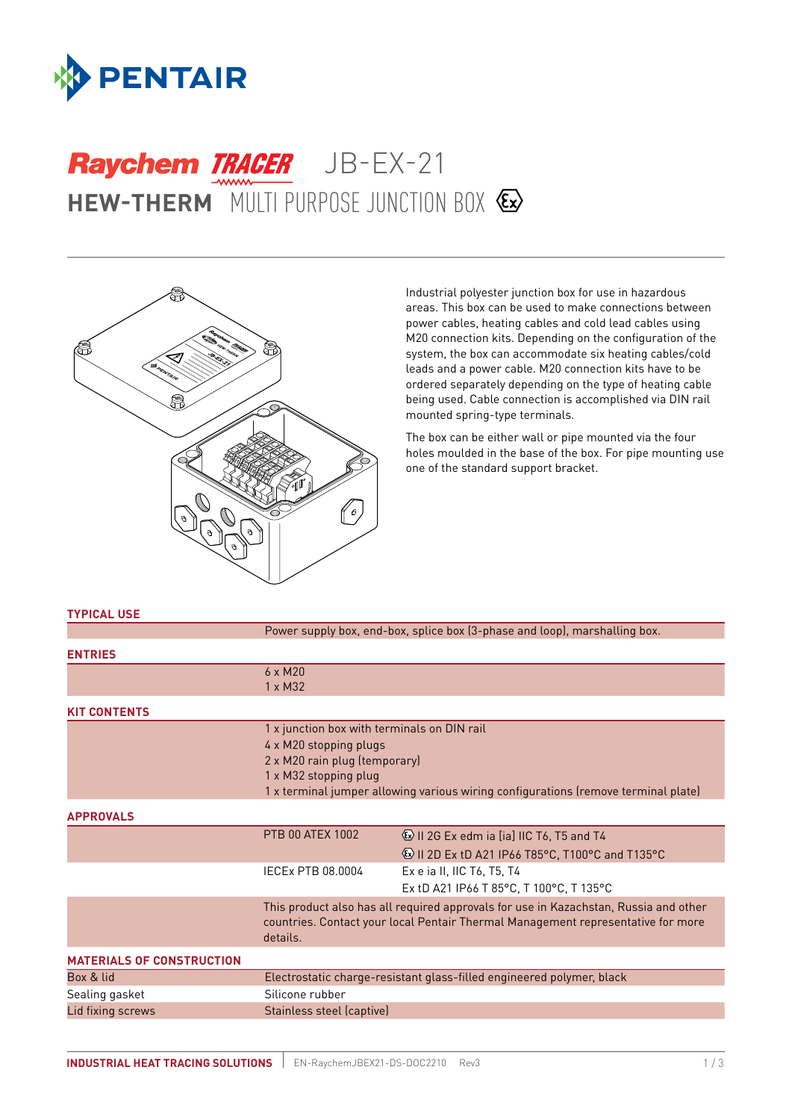

# **HEW-THERM** MULTI PURPOSE JUNCTION BOX Raychem TRACER JB-EX-21



Industrial polyester junction box for use in hazardous areas. This box can be used to make connections between power cables, heating cables and cold lead cables using M20 connection kits. Depending on the configuration of the system, the box can accommodate six heating cables/cold leads and a power cable. M20 connection kits have to be ordered separately depending on the type of heating cable being used. Cable connection is accomplished via DIN rail mounted spring-type terminals.

The box can be either wall or pipe mounted via the four holes moulded in the base of the box. For pipe mounting use one of the standard support bracket.

#### **TYPICAL USE**

|                                  | Power supply box, end-box, splice box (3-phase and loop), marshalling box.                                                                                                                                            |                                                                                                                   |  |
|----------------------------------|-----------------------------------------------------------------------------------------------------------------------------------------------------------------------------------------------------------------------|-------------------------------------------------------------------------------------------------------------------|--|
| <b>ENTRIES</b>                   |                                                                                                                                                                                                                       |                                                                                                                   |  |
|                                  | $6 \times M20$<br>$1 \times M32$                                                                                                                                                                                      |                                                                                                                   |  |
| <b>KIT CONTENTS</b>              |                                                                                                                                                                                                                       |                                                                                                                   |  |
|                                  | 1 x junction box with terminals on DIN rail<br>4 x M20 stopping plugs<br>2 x M20 rain plug (temporary)<br>1 x M32 stopping plug<br>1 x terminal jumper allowing various wiring configurations (remove terminal plate) |                                                                                                                   |  |
| <b>APPROVALS</b>                 |                                                                                                                                                                                                                       |                                                                                                                   |  |
|                                  | <b>PTB 00 ATEX 1002</b>                                                                                                                                                                                               | <b>&amp; II 2G Ex edm ia [ia] IIC T6, T5 and T4</b><br><b>&amp; II 2D Ex tD A21 IP66 T85°C, T100°C and T135°C</b> |  |
|                                  | IECEx PTB 08.0004                                                                                                                                                                                                     | Ex e ia II, IIC T6, T5, T4<br>Ex tD A21 IP66 T 85°C, T 100°C, T 135°C                                             |  |
|                                  | This product also has all required approvals for use in Kazachstan, Russia and other<br>countries. Contact your local Pentair Thermal Management representative for more<br>details.                                  |                                                                                                                   |  |
| <b>MATERIALS OF CONSTRUCTION</b> |                                                                                                                                                                                                                       |                                                                                                                   |  |
| Box & lid                        | Electrostatic charge-resistant glass-filled engineered polymer, black                                                                                                                                                 |                                                                                                                   |  |
| Sealing gasket                   | Silicone rubber                                                                                                                                                                                                       |                                                                                                                   |  |
| Lid fixing screws                | Stainless steel (captive)                                                                                                                                                                                             |                                                                                                                   |  |
|                                  |                                                                                                                                                                                                                       |                                                                                                                   |  |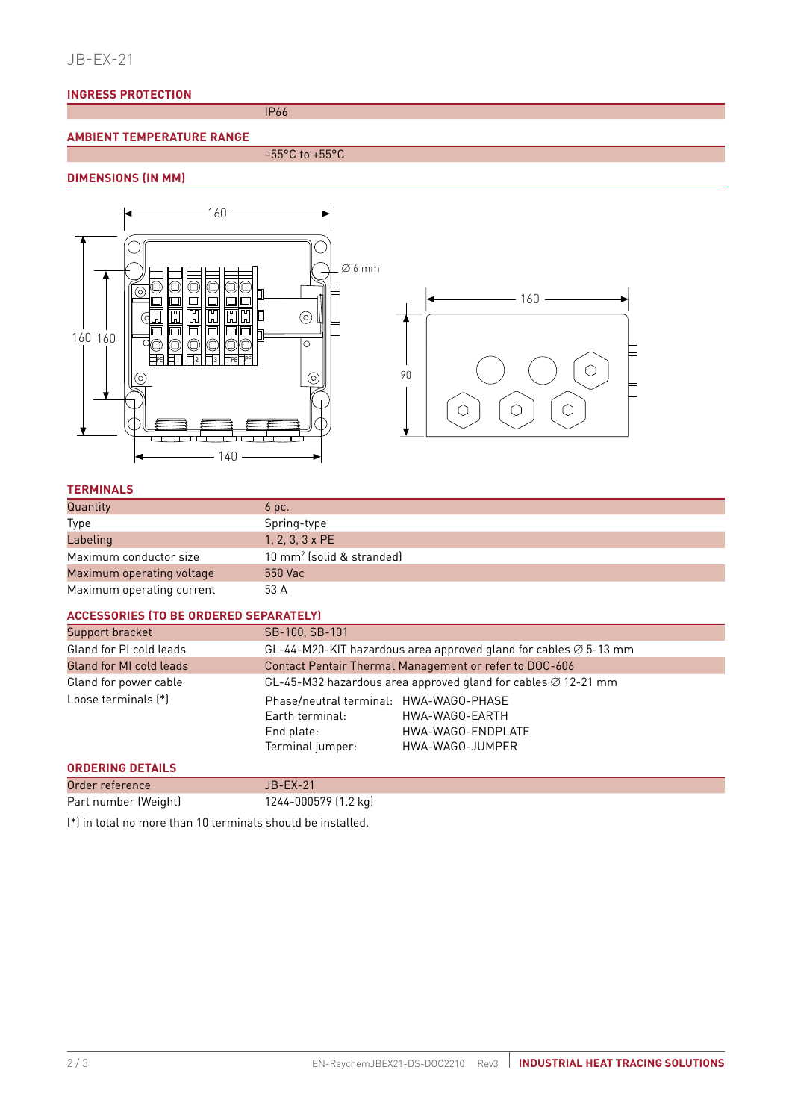## JB-EX-21

### **INGRESS PROTECTION**

IP66

## **AMBIENT TEMPERATURE RANGE**

 $-55^{\circ}$ C to +55 $^{\circ}$ C

## **DIMENSIONS (IN MM)**



## **TERMINALS**

| Quantity                  | 6 pc.                                 |
|---------------------------|---------------------------------------|
| Type                      | Spring-type                           |
| Labeling                  | $1, 2, 3, 3 \times PE$                |
| Maximum conductor size    | 10 mm <sup>2</sup> (solid & stranded) |
| Maximum operating voltage | 550 Vac                               |
| Maximum operating current | 53 A                                  |

#### **ACCESSORIES (TO BE ORDERED SEPARATELY)**

| Support bracket         | SB-100, SB-101                                                                              |                                                        |  |
|-------------------------|---------------------------------------------------------------------------------------------|--------------------------------------------------------|--|
| Gland for PI cold leads | GL-44-M20-KIT hazardous area approved gland for cables $\varnothing$ 5-13 mm                |                                                        |  |
| Gland for MI cold leads | Contact Pentair Thermal Management or refer to DOC-606                                      |                                                        |  |
| Gland for power cable   | GL-45-M32 hazardous area approved gland for cables $\varnothing$ 12-21 mm                   |                                                        |  |
| Loose terminals (*)     | Phase/neutral terminal: HWA-WAGO-PHASE<br>Earth terminal:<br>End plate:<br>Terminal jumper: | HWA-WAGO-EARTH<br>HWA-WAGO-ENDPLATE<br>HWA-WAGO-JUMPER |  |
| <b>ORDERING DETAILS</b> |                                                                                             |                                                        |  |
| Order reference         | $JB$ -EX-21                                                                                 |                                                        |  |
| Part number (Weight)    | 1244-000579 (1.2 kg)                                                                        |                                                        |  |

(\*) in total no more than 10 terminals should be installed.